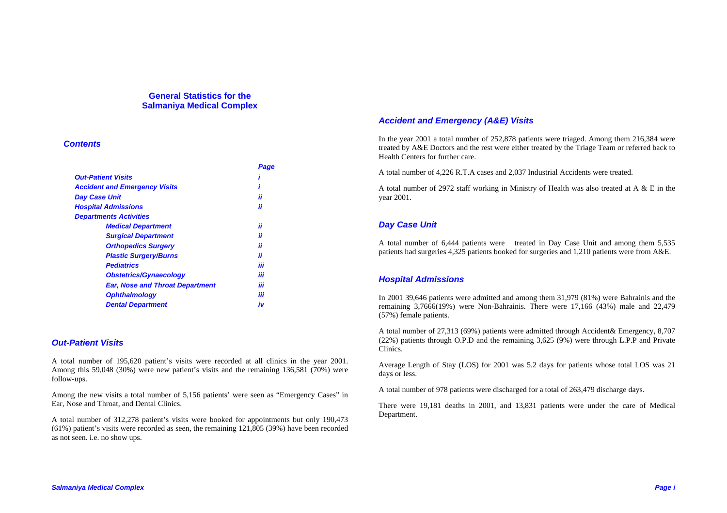### **General Statistics for the Salmaniya Medical Complex**

### *Contents*

|                                        | Page |
|----------------------------------------|------|
| <b>Out-Patient Visits</b>              |      |
| <b>Accident and Emergency Visits</b>   |      |
| <b>Day Case Unit</b>                   | ii   |
| <b>Hospital Admissions</b>             | ii   |
| <b>Departments Activities</b>          |      |
| <b>Medical Department</b>              | ii   |
| <b>Surgical Department</b>             | ii   |
| <b>Orthopedics Surgery</b>             | ii   |
| <b>Plastic Surgery/Burns</b>           | ii   |
| <b>Pediatrics</b>                      | iii  |
| <b>Obstetrics/Gynaecology</b>          | iii  |
| <b>Ear, Nose and Throat Department</b> | iii  |
| <b>Ophthalmology</b>                   | iii  |
| <b>Dental Department</b>               | iv   |

### *Out-Patient Visits*

A total number of 195,620 patient's visits were recorded at all clinics in the year 2001. Among this 59,048 (30%) were new patient's visits and the remaining 136,581 (70%) were follow-ups.

Among the new visits a total number of 5,156 patients' were seen as "Emergency Cases" in Ear, Nose and Throat, and Dental Clinics.

A total number of 312,278 patient's visits were booked for appointments but only 190,473 (61%) patient's visits were recorded as seen, the remaining 121,805 (39%) have been recorded as not seen. i.e. no show ups.

## *Accident and Emergency (A&E) Visits*

In the year 2001 a total number of 252,878 patients were triaged. Among them 216,384 were treated by A&E Doctors and the rest were either treated by the Triage Team or referred back to Health Centers for further care.

A total number of 4,226 R.T.A cases and 2,037 Industrial Accidents were treated.

A total number of 2972 staff working in Ministry of Health was also treated at A & E in the year 2001.

# *Day Case Unit*

A total number of 6,444 patients were treated in Day Case Unit and among them 5,535 patients had surgeries 4,325 patients booked for surgeries and 1,210 patients were from A&E.

# *Hospital Admissions*

In 2001 39,646 patients were admitted and among them 31,979 (81%) were Bahrainis and the remaining 3,7666(19%) were Non-Bahrainis. There were 17,166 (43%) male and 22,479 (57%) female patients.

A total number of 27,313 (69%) patients were admitted through Accident& Emergency, 8,707 (22%) patients through O.P.D and the remaining 3,625 (9%) were through L.P.P and Private Clinics.

Average Length of Stay (LOS) for 2001 was 5.2 days for patients whose total LOS was 21 days or less.

A total number of 978 patients were discharged for a total of 263,479 discharge days.

There were 19,181 deaths in 2001, and 13,831 patients were under the care of Medical Department.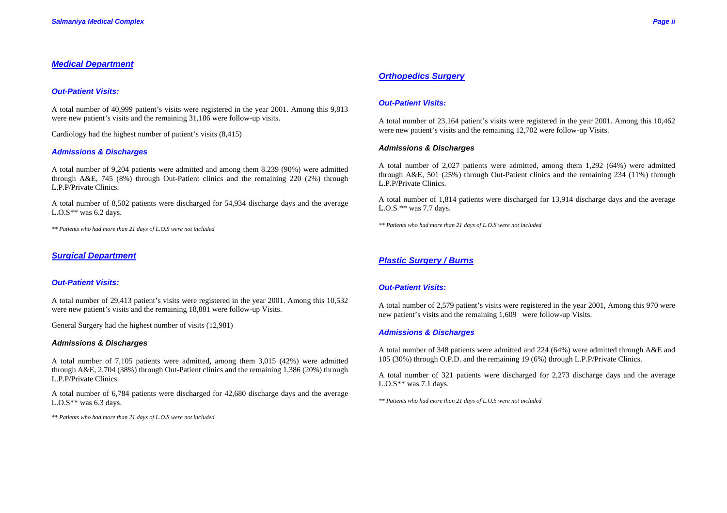## *Medical Department*

### *Out-Patient Visits:*

A total number of 40,999 patient's visits were registered in the year 2001. Among this 9,813 were new patient's visits and the remaining 31,186 were follow-up visits.

Cardiology had the highest number of patient's visits (8,415)

### *Admissions & Discharges*

A total number of 9,204 patients were admitted and among them 8.239 (90%) were admitted through A&E, 745 (8%) through Out-Patient clinics and the remaining 220 (2%) through L.P.P/Private Clinics.

A total number of 8,502 patients were discharged for 54,934 discharge days and the average L.O.S\*\* was  $6.2$  days.

*\*\* Patients who had more than 21 days of L.O.S were not included* 

### *Surgical Department*

### *Out-Patient Visits:*

A total number of 29,413 patient's visits were registered in the year 2001. Among this 10,532 were new patient's visits and the remaining 18,881 were follow-up Visits.

General Surgery had the highest number of visits (12,981)

### *Admissions & Discharges*

A total number of 7,105 patients were admitted, among them 3,015 (42%) were admitted through A&E, 2,704 (38%) through Out-Patient clinics and the remaining 1,386 (20%) through L.P.P/Private Clinics.

A total number of 6,784 patients were discharged for 42,680 discharge days and the average L.O.S\*\* was  $6.3$  days.

*\*\* Patients who had more than 21 days of L.O.S were not included* 

## *Orthopedics Surgery*

### *Out-Patient Visits:*

A total number of 23,164 patient's visits were registered in the year 2001. Among this 10,462 were new patient's visits and the remaining 12,702 were follow-up Visits.

### *Admissions & Discharges*

A total number of 2,027 patients were admitted, among them 1,292 (64%) were admitted through A&E, 501 (25%) through Out-Patient clinics and the remaining 234 (11%) through L.P.P/Private Clinics.

A total number of 1,814 patients were discharged for 13,914 discharge days and the average L.O.S \*\* was 7.7 days.

*\*\* Patients who had more than 21 days of L.O.S were not included*

## *Plastic Surgery / Burns*

### *Out-Patient Visits:*

A total number of 2,579 patient's visits were registered in the year 2001, Among this 970 were new patient's visits and the remaining 1,609 were follow-up Visits.

### *Admissions & Discharges*

A total number of 348 patients were admitted and 224 (64%) were admitted through A&E and 105 (30%) through O.P.D. and the remaining 19 (6%) through L.P.P/Private Clinics.

A total number of 321 patients were discharged for 2,273 discharge days and the average L.O.S\*\* was 7.1 days.

*\*\* Patients who had more than 21 days of L.O.S were not included*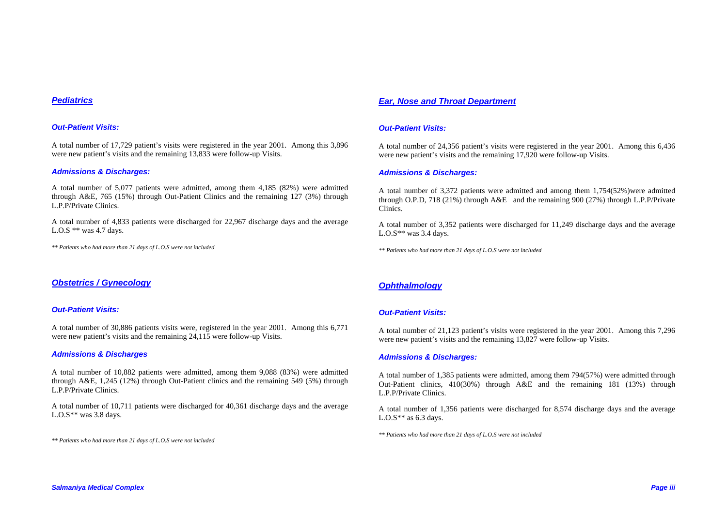### *Pediatrics*

### *Out-Patient Visits:*

A total number of 17,729 patient's visits were registered in the year 2001. Among this 3,896 were new patient's visits and the remaining 13,833 were follow-up Visits.

### *Admissions & Discharges:*

A total number of 5,077 patients were admitted, among them 4,185 (82%) were admitted through A&E, 765 (15%) through Out-Patient Clinics and the remaining 127 (3%) through L.P.P/Private Clinics.

A total number of 4,833 patients were discharged for 22,967 discharge days and the average L.O.S \*\* was 4.7 days.

*\*\* Patients who had more than 21 days of L.O.S were not included*

### *Obstetrics / Gynecology*

### *Out-Patient Visits:*

A total number of 30,886 patients visits were, registered in the year 2001. Among this 6,771 were new patient's visits and the remaining 24,115 were follow-up Visits.

### *Admissions & Discharges*

A total number of 10,882 patients were admitted, among them 9,088 (83%) were admitted through A&E, 1,245 (12%) through Out-Patient clinics and the remaining 549 (5%) through L.P.P/Private Clinics.

A total number of 10,711 patients were discharged for 40,361 discharge days and the average L.O.S\*\* was  $3.8$  days.

*\*\* Patients who had more than 21 days of L.O.S were not included*

### *Ear, Nose and Throat Department*

### *Out-Patient Visits:*

A total number of 24,356 patient's visits were registered in the year 2001. Among this 6,436 were new patient's visits and the remaining 17,920 were follow-up Visits.

### *Admissions & Discharges:*

A total number of 3,372 patients were admitted and among them 1,754(52%)were admitted through O.P.D, 718 (21%) through A&E and the remaining 900 (27%) through L.P.P/Private Clinics.

A total number of 3,352 patients were discharged for 11,249 discharge days and the average L.O.S\*\* was  $3.4$  days.

*\*\* Patients who had more than 21 days of L.O.S were not included*

# *Ophthalmology*

### *Out-Patient Visits:*

A total number of 21,123 patient's visits were registered in the year 2001. Among this 7,296 were new patient's visits and the remaining 13,827 were follow-up Visits.

### *Admissions & Discharges:*

A total number of 1,385 patients were admitted, among them 794(57%) were admitted through Out-Patient clinics, 410(30%) through A&E and the remaining 181 (13%) through L.P.P/Private Clinics.

A total number of 1,356 patients were discharged for 8,574 discharge days and the average L.O.S\*\* as  $6.3$  days.

*\*\* Patients who had more than 21 days of L.O.S were not included*